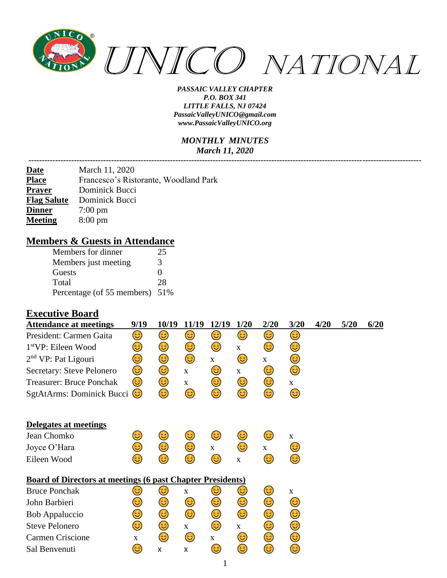

#### *MONTHLY MINUTES March 11, 2020*

| <u>Date</u>        | March 11, 2020                        |
|--------------------|---------------------------------------|
| <b>Place</b>       | Francesco's Ristorante, Woodland Park |
| <b>Prayer</b>      | Dominick Bucci                        |
| <b>Flag Salute</b> | Dominick Bucci                        |
| <b>Dinner</b>      | $7:00 \text{ pm}$                     |
| <b>Meeting</b>     | $8:00 \text{ pm}$                     |

### **Members & Guests in Attendance**

| Members for dinner             | 25 |
|--------------------------------|----|
| Members just meeting           | 3  |
| Guests                         | ∩  |
| Total                          | 28 |
| Percentage (of 55 members) 51% |    |

#### **Executive Board**

| <b>Attendance at meetings</b>                                     | 9/19 | 10/19 | 11/19       | 12/19        | 1/20         | 2/20         | 3/20         | 4/20 | 5/20 | 6/20 |
|-------------------------------------------------------------------|------|-------|-------------|--------------|--------------|--------------|--------------|------|------|------|
| President: Carmen Gaita                                           | ☺    | 3)    | 3)          | 3)           | 3)           | 3)           | 3)           |      |      |      |
| 1 <sup>st</sup> VP: Eileen Wood                                   | 3)   | 3)    | 3)          | 3)           | $\mathbf{X}$ | 3)           | 3            |      |      |      |
| $2nd$ VP: Pat Ligouri                                             | ☺    | ٢     | ٢           | $\mathbf{X}$ | 3            | $\mathbf X$  | ٢            |      |      |      |
| Secretary: Steve Pelonero                                         | 3    | ٢     | $\mathbf X$ | 3)           | $\mathbf{X}$ | 3)           | 3            |      |      |      |
| <b>Treasurer: Bruce Ponchak</b>                                   | 3)   | 3     | X           | 3)           | 3            | 3)           | $\mathbf{X}$ |      |      |      |
| SgtAtArms: Dominick Bucci                                         | (3   | 3     | ٢           | ٢            | ☺            | ☺            | ٢            |      |      |      |
| Delegates at meetings                                             |      |       |             |              |              |              |              |      |      |      |
| Jean Chomko                                                       | 3    | 3)    | 3           | 3)           | 3)           | 3)           | $\mathbf{X}$ |      |      |      |
| Joyce O'Hara                                                      | 3)   | ٢     | 3           | $\mathbf{X}$ | ٢            | $\mathbf{X}$ | 3            |      |      |      |
| Eileen Wood                                                       | ದಿ   | ದಿ    | 3           | 3            | $\mathbf{X}$ | 3)           | 3            |      |      |      |
| <b>Board of Directors at meetings (6 past Chapter Presidents)</b> |      |       |             |              |              |              |              |      |      |      |
| <b>Bruce Ponchak</b>                                              | ۵    | 3     | $\mathbf X$ | 3            | 3)           | 3)           | $\mathbf X$  |      |      |      |
| John Barbieri                                                     | 3    | 3)    | 3)          | 3            | ٢            | 3            | 3            |      |      |      |
| <b>Bob Appaluccio</b>                                             | 3    | 3     | 3           | ٢            | ٢            | ٢            | ☺            |      |      |      |
| <b>Steve Pelonero</b>                                             | 3)   | 3     | $\mathbf X$ | 3)           | $\mathbf{X}$ | 3            | ٢            |      |      |      |
| Carmen Criscione                                                  | X    | 3)    | 3           | $\mathbf{X}$ | 3            | 3            | 3            |      |      |      |
| Sal Benvenuti                                                     | 3)   | X     | X           | 3)           | ☺            | ☺            | 3            |      |      |      |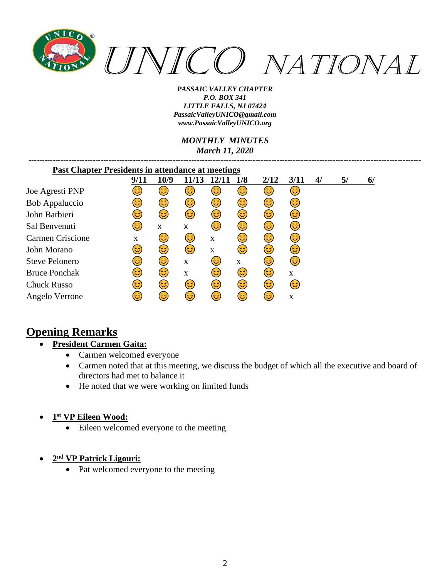

*MONTHLY MINUTES March 11, 2020*

*---------------------------------------------------------------------------------------------------------------------------------------------------*

| <b>Past Chapter Presidents in attendance at meetings</b> |      |      |             |             |             |      |      |    |    |    |
|----------------------------------------------------------|------|------|-------------|-------------|-------------|------|------|----|----|----|
|                                                          | 9/11 | 10/9 | 11/13       |             | 1/8         | 2/12 | 3/11 | 4/ | 5/ | 6/ |
| Joe Agresti PNP                                          | ತಿ   | ಟ    | ಟ           | ಟ           | ತಿ          | فع   | 3    |    |    |    |
| <b>Bob Appaluccio</b>                                    | ಡಿ   | 3    | 3           | 3           | 3           | ದಿ   | 3    |    |    |    |
| John Barbieri                                            | 3    | 3    | 63)         | 3           | 3)          | 3    | 3)   |    |    |    |
| Sal Benvenuti                                            | 3    | X    | X           | 6           | 3           | 3    | 3    |    |    |    |
| Carmen Criscione                                         | X    | ಡಿ   | ದಿ          | X           | ದಿ          | 3    | 3    |    |    |    |
| John Morano                                              | 3    | ಡಿ   | 3           | $\mathbf X$ | 3           | ದಿ   | 3    |    |    |    |
| <b>Steve Pelonero</b>                                    | ಡಿ   | 3    | $\mathbf X$ | ದಿ          | $\mathbf X$ | ಡಿ   | (ئ   |    |    |    |
| <b>Bruce Ponchak</b>                                     | 63)  | ದಿ   | $\mathbf X$ | 3           | 3           | 3    | X    |    |    |    |
| <b>Chuck Russo</b>                                       | 63)  | 3    | 63)         | 6           | (ئ          | 63)  | 3    |    |    |    |
| Angelo Verrone                                           | ತಿ   | ಡಿ   | ದಿ          | ದಿ          | (ئ          | ಡಿ   | X    |    |    |    |

# **Opening Remarks**

## • **President Carmen Gaita:**

- Carmen welcomed everyone
- Carmen noted that at this meeting, we discuss the budget of which all the executive and board of directors had met to balance it
- He noted that we were working on limited funds

## • **1 st VP Eileen Wood:**

• Eileen welcomed everyone to the meeting

## • **2 nd VP Patrick Ligouri:**

• Pat welcomed everyone to the meeting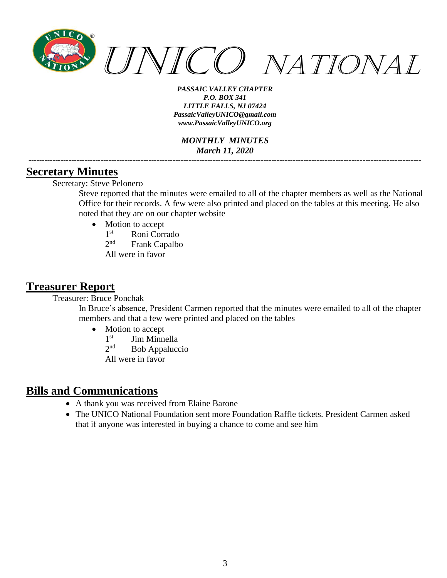

*MONTHLY MINUTES March 11, 2020*

## **Secretary Minutes**

Secretary: Steve Pelonero

Steve reported that the minutes were emailed to all of the chapter members as well as the National Office for their records. A few were also printed and placed on the tables at this meeting. He also noted that they are on our chapter website

*---------------------------------------------------------------------------------------------------------------------------------------------------*

- Motion to accept
	- $1<sup>st</sup>$ Roni Corrado
	- $2^{nd}$ Frank Capalbo
	- All were in favor

## **Treasurer Report**

Treasurer: Bruce Ponchak

In Bruce's absence, President Carmen reported that the minutes were emailed to all of the chapter members and that a few were printed and placed on the tables

- Motion to accept
	- $1<sup>st</sup>$ Jim Minnella
	- $2^{nd}$ Bob Appaluccio
	- All were in favor

## **Bills and Communications**

- A thank you was received from Elaine Barone
- The UNICO National Foundation sent more Foundation Raffle tickets. President Carmen asked that if anyone was interested in buying a chance to come and see him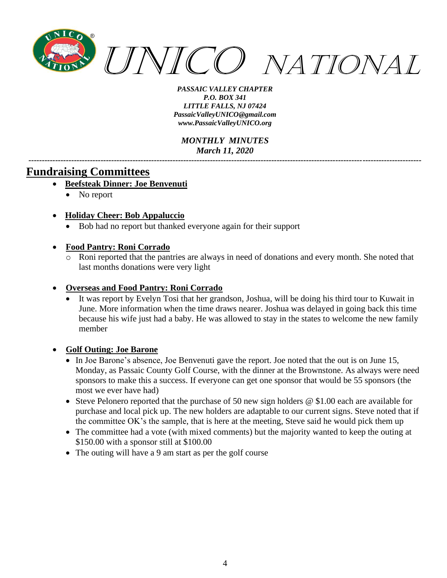

*MONTHLY MINUTES March 11, 2020*

*---------------------------------------------------------------------------------------------------------------------------------------------------*

## **Fundraising Committees**

- **Beefsteak Dinner: Joe Benvenuti**
	- No report
- **Holiday Cheer: Bob Appaluccio**
	- Bob had no report but thanked everyone again for their support

### • **Food Pantry: Roni Corrado**

o Roni reported that the pantries are always in need of donations and every month. She noted that last months donations were very light

### • **Overseas and Food Pantry: Roni Corrado**

It was report by Evelyn Tosi that her grandson, Joshua, will be doing his third tour to Kuwait in June. More information when the time draws nearer. Joshua was delayed in going back this time because his wife just had a baby. He was allowed to stay in the states to welcome the new family member

#### • **Golf Outing: Joe Barone**

- In Joe Barone's absence, Joe Benvenuti gave the report. Joe noted that the out is on June 15, Monday, as Passaic County Golf Course, with the dinner at the Brownstone. As always were need sponsors to make this a success. If everyone can get one sponsor that would be 55 sponsors (the most we ever have had)
- Steve Pelonero reported that the purchase of 50 new sign holders @ \$1.00 each are available for purchase and local pick up. The new holders are adaptable to our current signs. Steve noted that if the committee OK's the sample, that is here at the meeting, Steve said he would pick them up
- The committee had a vote (with mixed comments) but the majority wanted to keep the outing at \$150.00 with a sponsor still at \$100.00
- The outing will have a 9 am start as per the golf course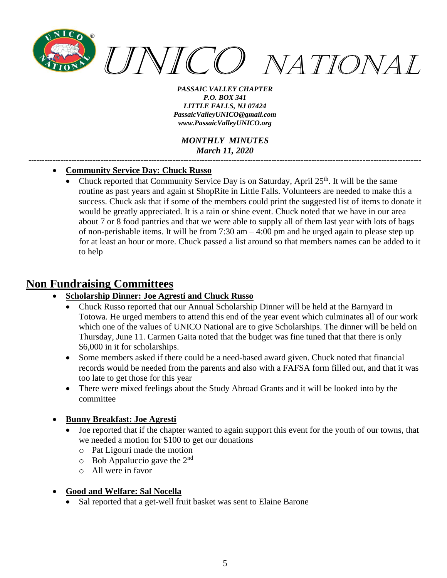

*MONTHLY MINUTES March 11, 2020*

*---------------------------------------------------------------------------------------------------------------------------------------------------*

#### • **Community Service Day: Chuck Russo**

• Chuck reported that Community Service Day is on Saturday, April  $25<sup>th</sup>$ . It will be the same routine as past years and again st ShopRite in Little Falls. Volunteers are needed to make this a success. Chuck ask that if some of the members could print the suggested list of items to donate it would be greatly appreciated. It is a rain or shine event. Chuck noted that we have in our area about 7 or 8 food pantries and that we were able to supply all of them last year with lots of bags of non-perishable items. It will be from 7:30 am – 4:00 pm and he urged again to please step up for at least an hour or more. Chuck passed a list around so that members names can be added to it to help

## **Non Fundraising Committees**

- **Scholarship Dinner: Joe Agresti and Chuck Russo**
	- Chuck Russo reported that our Annual Scholarship Dinner will be held at the Barnyard in Totowa. He urged members to attend this end of the year event which culminates all of our work which one of the values of UNICO National are to give Scholarships. The dinner will be held on Thursday, June 11. Carmen Gaita noted that the budget was fine tuned that that there is only \$6,000 in it for scholarships.
	- Some members asked if there could be a need-based award given. Chuck noted that financial records would be needed from the parents and also with a FAFSA form filled out, and that it was too late to get those for this year
	- There were mixed feelings about the Study Abroad Grants and it will be looked into by the committee
- **Bunny Breakfast: Joe Agresti**
	- Joe reported that if the chapter wanted to again support this event for the youth of our towns, that we needed a motion for \$100 to get our donations
		- o Pat Ligouri made the motion
		- $\circ$  Bob Appaluccio gave the 2<sup>nd</sup>
		- o All were in favor

## • **Good and Welfare: Sal Nocella**

Sal reported that a get-well fruit basket was sent to Elaine Barone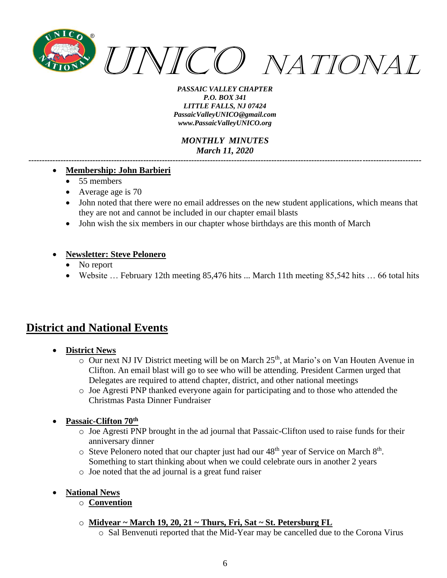

*MONTHLY MINUTES March 11, 2020*

#### • **Membership: John Barbieri**

- 55 members
- Average age is 70
- John noted that there were no email addresses on the new student applications, which means that they are not and cannot be included in our chapter email blasts

*---------------------------------------------------------------------------------------------------------------------------------------------------*

• John wish the six members in our chapter whose birthdays are this month of March

#### • **Newsletter: Steve Pelonero**

- No report
- Website ... February 12th meeting 85,476 hits ... March 11th meeting 85,542 hits ... 66 total hits

# **District and National Events**

- **District News**
	- $\circ$  Our next NJ IV District meeting will be on March 25<sup>th</sup>, at Mario's on Van Houten Avenue in Clifton. An email blast will go to see who will be attending. President Carmen urged that Delegates are required to attend chapter, district, and other national meetings
	- o Joe Agresti PNP thanked everyone again for participating and to those who attended the Christmas Pasta Dinner Fundraiser

#### • **Passaic-Clifton 70th**

- o Joe Agresti PNP brought in the ad journal that Passaic-Clifton used to raise funds for their anniversary dinner
- $\circ$  Steve Pelonero noted that our chapter just had our 48<sup>th</sup> year of Service on March 8<sup>th</sup>. Something to start thinking about when we could celebrate ours in another 2 years
- o Joe noted that the ad journal is a great fund raiser
- **National News**
	- o **Convention**
	- o **Midyear ~ March 19, 20, 21 ~ Thurs, Fri, Sat ~ St. Petersburg FL**
		- o Sal Benvenuti reported that the Mid-Year may be cancelled due to the Corona Virus